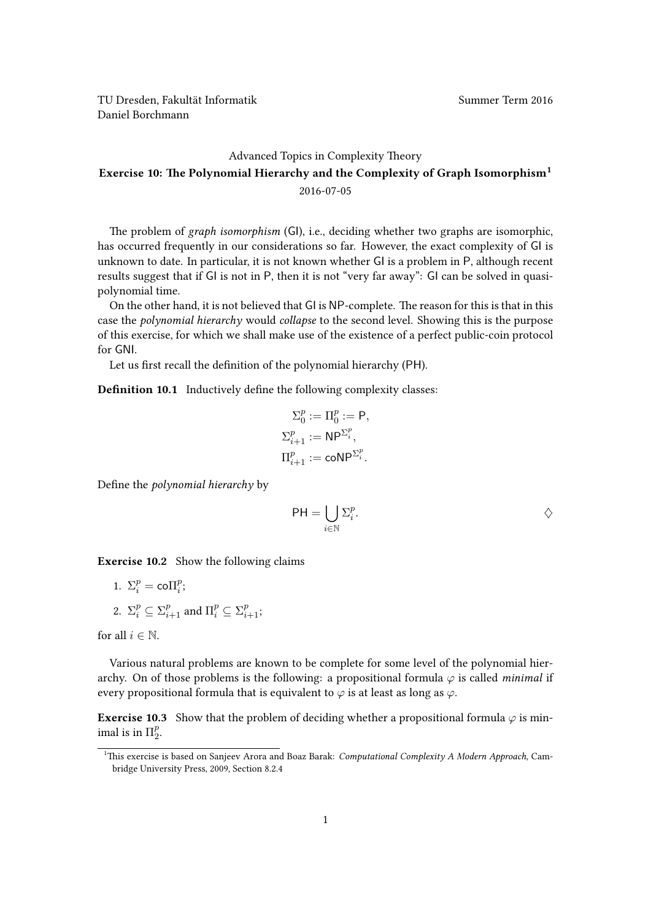## [Advanced Topics in Complexity Theory](https://ddll.inf.tu-dresden.de/web/Advanced_Topics_in_Complexity_Theory_(SS2016)) Exercise 10: The Polynomial Hierarchy and the Complexity of Graph Isomorphism[1](#page-0-0) 2016-07-05

The problem of graph isomorphism (GI), i.e., deciding whether two graphs are isomorphic, has occurred frequently in our considerations so far. However, the exact complexity of GI is unknown to date. In particular, it is not known whether GI is a problem in P, although recent results suggest that if GI is not in P, then it is not "very far away": GI can be solved in quasipolynomial time.

On the other hand, it is not believed that GI is NP-complete. The reason for this is that in this case the polynomial hierarchy would collapse to the second level. Showing this is the purpose of this exercise, for which we shall make use of the existence of a perfect public-coin protocol for GNI.

Let us first recall the definition of the polynomial hierarchy (PH).

Definition 10.1 Inductively define the following complexity classes:

$$
\begin{aligned} \Sigma^p_0 &:= \Pi^p_0 := \mathsf{P}, \\ \Sigma^p_{i+1} &:= \mathsf{NP}^{\Sigma^p_i}, \\ \Pi^p_{i+1} &:= \mathsf{coNP}^{\Sigma^p_i}. \end{aligned}
$$

Define the polynomial hierarchy by

$$
\mathsf{PH}=\bigcup_{i\in\mathbb{N}}\Sigma_i^p.\qquad\qquad\Diamond
$$

Exercise 10.2 Show the following claims

1. 
$$
\Sigma_i^p = \text{co}\Pi_i^p
$$
;  
2.  $\Sigma_i^p \subseteq \Sigma_{i+1}^p$  and  $\Pi_i^p \subseteq \Sigma_{i+1}^p$ ;

for all  $i \in \mathbb{N}$ .

Various natural problems are known to be complete for some level of the polynomial hierarchy. On of those problems is the following: a propositional formula  $\varphi$  is called *minimal* if every propositional formula that is equivalent to  $\varphi$  is at least as long as  $\varphi$ .

**Exercise 10.3** Show that the problem of deciding whether a propositional formula  $\varphi$  is minimal is in  $\Pi_2^p$  $\frac{p}{2}$ .

<span id="page-0-0"></span><sup>&</sup>lt;sup>1</sup>This exercise is based on Sanjeev Arora and Boaz Barak: Computational Complexity A Modern Approach, Cambridge University Press, 2009, Section 8.2.4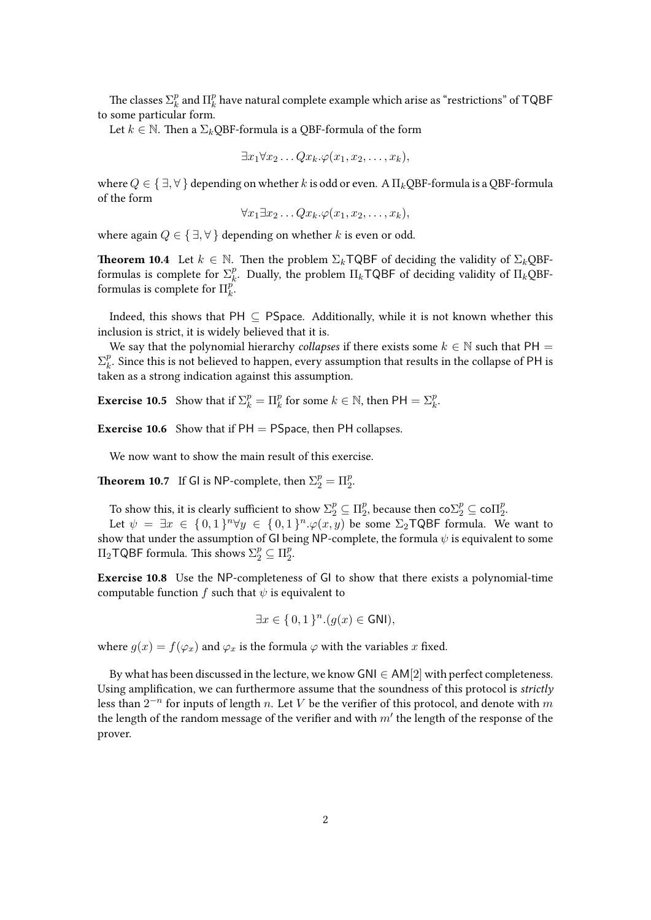The classes  $\Sigma^p_k$  $\frac{p}{k}$  and  $\Pi_k^p$  $\frac{p}{k}$  have natural complete example which arise as "restrictions" of  ${\sf TQBF}$ to some particular form.

Let  $k \in \mathbb{N}$ . Then a  $\Sigma_k$ QBF-formula is a QBF-formula of the form

$$
\exists x_1 \forall x_2 \ldots Q x_k. \varphi(x_1, x_2, \ldots, x_k),
$$

where  $Q \in \{\exists, \forall\}$  depending on whether k is odd or even. A  $\Pi_k$ QBF-formula is a QBF-formula of the form

$$
\forall x_1 \exists x_2 \ldots Q x_k. \varphi(x_1, x_2, \ldots, x_k),
$$

where again  $Q \in \{\exists, \forall\}$  depending on whether k is even or odd.

**Theorem 10.4** Let  $k \in \mathbb{N}$ . Then the problem  $\Sigma_k \textsf{TQBF}$  of deciding the validity of  $\Sigma_k \textsf{OBF}$ formulas is complete for  $\Sigma_k^p$ . Dually, the problem  $\Pi_k \mathsf{TQBF}$  of deciding validity of  $\Pi_k \mathsf{QBF}$ formulas is complete for  $\Box_k^p$ .  $_k^p$ .

Indeed, this shows that PH  $\subset$  PSpace. Additionally, while it is not known whether this inclusion is strict, it is widely believed that it is.

We say that the polynomial hierarchy collapses if there exists some  $k \in \mathbb{N}$  such that PH =  $\Sigma_k^p$  $\frac{p}{k}$ . Since this is not believed to happen, every assumption that results in the collapse of PH is taken as a strong indication against this assumption.

**Exercise 10.5** Show that if  $\Sigma_k^p = \Pi_k^p$  for some  $k \in \mathbb{N}$ , then  $PH = \Sigma_k^p$ .

**Exercise 10.6** Show that if  $PH = P$ Space, then  $PH$  collapses.

We now want to show the main result of this exercise.

**Theorem 10.7** If GI is NP-complete, then  $\Sigma_2^p = \Pi_2^p$ .

To show this, it is clearly sufficient to show  $\Sigma_2^p \subseteq \Pi_2^p$  $_2^p$ , because then  ${\rm co}\Sigma_2^p \subseteq {\rm co}\Pi_2^p$  $\frac{p}{2}$ 

Let  $\psi = \exists x \in \{0,1\}^n \forall y \in \{0,1\}^n \cdot \varphi(x,y)$  be some  $\Sigma_2$ TQBF formula. We want to show that under the assumption of GI being NP-complete, the formula  $\psi$  is equivalent to some  $\Pi_2$ TQBF formula. This shows  $\Sigma_2^p \subseteq \Pi_2^p$  $\frac{p}{2}$ 

Exercise 10.8 Use the NP-completeness of GI to show that there exists a polynomial-time computable function f such that  $\psi$  is equivalent to

$$
\exists x \in \{0, 1\}^n (g(x) \in \mathsf{GNI}),
$$

where  $g(x) = f(\varphi_x)$  and  $\varphi_x$  is the formula  $\varphi$  with the variables x fixed.

By what has been discussed in the lecture, we know GNI  $\in$  AM[2] with perfect completeness. Using amplification, we can furthermore assume that the soundness of this protocol is *strictly* less than  $2^{-n}$  for inputs of length n. Let V be the verifier of this protocol, and denote with  $m$ the length of the random message of the verifier and with  $m'$  the length of the response of the prover.